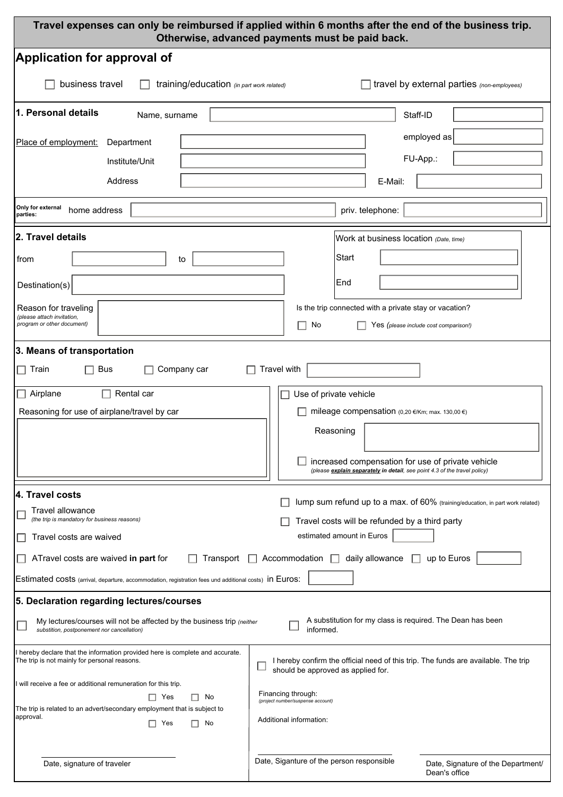| Travel expenses can only be reimbursed if applied within 6 months after the end of the business trip.<br>Otherwise, advanced payments must be paid back.                                        |                                                                                                                                |  |  |  |
|-------------------------------------------------------------------------------------------------------------------------------------------------------------------------------------------------|--------------------------------------------------------------------------------------------------------------------------------|--|--|--|
| Application for approval of                                                                                                                                                                     |                                                                                                                                |  |  |  |
| business travel<br>training/education (in part work related)                                                                                                                                    | travel by external parties (non-employees)                                                                                     |  |  |  |
| 1. Personal details<br>Name, surname                                                                                                                                                            | Staff-ID                                                                                                                       |  |  |  |
| Place of employment:<br>Department                                                                                                                                                              | $\blacktriangledown$<br>employed as                                                                                            |  |  |  |
| Institute/Unit                                                                                                                                                                                  | FU-App.:                                                                                                                       |  |  |  |
| Address                                                                                                                                                                                         | E-Mail:                                                                                                                        |  |  |  |
| Only for external<br>home address<br>parties:                                                                                                                                                   | priv. telephone:                                                                                                               |  |  |  |
| 2. Travel details                                                                                                                                                                               | Work at business location (Date, time)                                                                                         |  |  |  |
| from<br>to                                                                                                                                                                                      | Start                                                                                                                          |  |  |  |
| Destination(s)                                                                                                                                                                                  | End                                                                                                                            |  |  |  |
| Reason for traveling                                                                                                                                                                            | Is the trip connected with a private stay or vacation?                                                                         |  |  |  |
| (please attach invitation,<br>program or other document)                                                                                                                                        | No<br>H<br>Yes (please include cost comparison!)                                                                               |  |  |  |
| 3. Means of transportation                                                                                                                                                                      |                                                                                                                                |  |  |  |
| $\Box$ Train<br><b>Bus</b><br>Company car                                                                                                                                                       | Travel with                                                                                                                    |  |  |  |
| Rental car<br>$\Box$ Airplane                                                                                                                                                                   | Use of private vehicle                                                                                                         |  |  |  |
| Reasoning for use of airplane/travel by car<br>mileage compensation (0,20 €/Km; max. 130,00 €)                                                                                                  |                                                                                                                                |  |  |  |
|                                                                                                                                                                                                 | Reasoning                                                                                                                      |  |  |  |
|                                                                                                                                                                                                 | increased compensation for use of private vehicle<br>(please explain separately in detail, see point 4.3 of the travel policy) |  |  |  |
| 4. Travel costs                                                                                                                                                                                 |                                                                                                                                |  |  |  |
| lump sum refund up to a max. of 60% (training/education, in part work related)<br><b>Travel allowance</b><br>(the trip is mandatory for business reasons)                                       |                                                                                                                                |  |  |  |
| Travel costs will be refunded by a third party<br>estimated amount in Euros<br>Travel costs are waived                                                                                          |                                                                                                                                |  |  |  |
| ATravel costs are waived in part for<br>Accommodation $\Box$ daily allowance<br>up to Euros<br>Transport                                                                                        |                                                                                                                                |  |  |  |
| Estimated costs (arrival, departure, accommodation, registration fees und additional costs) in Euros:                                                                                           |                                                                                                                                |  |  |  |
| 5. Declaration regarding lectures/courses                                                                                                                                                       |                                                                                                                                |  |  |  |
| A substitution for my class is required. The Dean has been<br>My lectures/courses will not be affected by the business trip (neither<br>informed.<br>substition, postponement nor cancellation) |                                                                                                                                |  |  |  |
| I hereby declare that the information provided here is complete and accurate.<br>The trip is not mainly for personal reasons.                                                                   | I hereby confirm the official need of this trip. The funds are available. The trip<br>should be approved as applied for.       |  |  |  |
| I will receive a fee or additional remuneration for this trip.<br>$\Box$ Yes<br>No<br>$\Box$                                                                                                    | Financing through:                                                                                                             |  |  |  |
| The trip is related to an advert/secondary employment that is subject to<br>approval.                                                                                                           | (project number/suspense account)                                                                                              |  |  |  |
| No<br>$\Box$ Yes<br>П                                                                                                                                                                           | Additional information:                                                                                                        |  |  |  |
| Date, signature of traveler                                                                                                                                                                     | Date, Siganture of the person responsible<br>Date, Signature of the Department/<br>Dean's office                               |  |  |  |